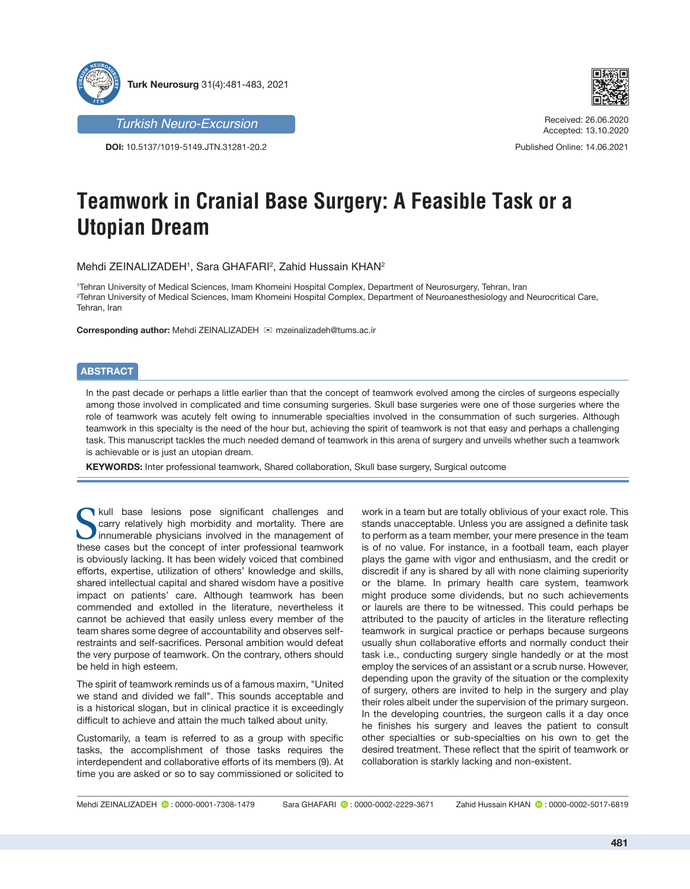



Received: 26.06.2020 Accepted: 13.10.2020

Published Online: 14.06.2021

*Turkish Neuro-Excursion*

**DOI:** 10.5137/1019-5149.JTN.31281-20.2

## **Teamwork in Cranial Base Surgery: A Feasible Task or a Utopian Dream**

Mehdi ZEINALIZADEH1, Sara GHAFARI<del>2, Zahid Hussain KHAN2</del>

1 Tehran University of Medical Sciences, Imam Khomeini Hospital Complex, Department of Neurosurgery, Tehran, Iran 2 Tehran University of Medical Sciences, Imam Khomeini Hospital Complex, Department of Neuroanesthesiology and Neurocritical Care, Tehran, Iran

**Corresponding author:** Mehdi ZEINALIZADEH mzeinalizadeh@tums.ac.ir

## **ABSTRACT**

In the past decade or perhaps a little earlier than that the concept of teamwork evolved among the circles of surgeons especially among those involved in complicated and time consuming surgeries. Skull base surgeries were one of those surgeries where the role of teamwork was acutely felt owing to innumerable specialties involved in the consummation of such surgeries. Although teamwork in this specialty is the need of the hour but, achieving the spirit of teamwork is not that easy and perhaps a challenging task. This manuscript tackles the much needed demand of teamwork in this arena of surgery and unveils whether such a teamwork is achievable or is just an utopian dream.

**KEYWORDS:** Inter professional teamwork, Shared collaboration, Skull base surgery, Surgical outcome

**N**kull base lesions pose significant challenges and carry relatively high morbidity and mortality. There are innumerable physicians involved in the management of these cases but the concept of inter professional teamwork is obviously lacking. It has been widely voiced that combined efforts, expertise, utilization of others' knowledge and skills, shared intellectual capital and shared wisdom have a positive impact on patients' care. Although teamwork has been commended and extolled in the literature, nevertheless it cannot be achieved that easily unless every member of the team shares some degree of accountability and observes selfrestraints and self-sacrifices. Personal ambition would defeat the very purpose of teamwork. On the contrary, others should be held in high esteem.

The spirit of teamwork reminds us of a famous maxim, "United we stand and divided we fall". This sounds acceptable and is a historical slogan, but in clinical practice it is exceedingly difficult to achieve and attain the much talked about unity.

Customarily, a team is referred to as a group with specific tasks, the accomplishment of those tasks requires the interdependent and collaborative efforts of its members (9). At time you are asked or so to say commissioned or solicited to

work in a team but are totally oblivious of your exact role. This stands unacceptable. Unless you are assigned a definite task to perform as a team member, your mere presence in the team is of no value. For instance, in a football team, each player plays the game with vigor and enthusiasm, and the credit or discredit if any is shared by all with none claiming superiority or the blame. In primary health care system, teamwork might produce some dividends, but no such achievements or laurels are there to be witnessed. This could perhaps be attributed to the paucity of articles in the literature reflecting teamwork in surgical practice or perhaps because surgeons usually shun collaborative efforts and normally conduct their task i.e., conducting surgery single handedly or at the most employ the services of an assistant or a scrub nurse. However, depending upon the gravity of the situation or the complexity of surgery, others are invited to help in the surgery and play their roles albeit under the supervision of the primary surgeon. In the developing countries, the surgeon calls it a day once he finishes his surgery and leaves the patient to consult other specialties or sub-specialties on his own to get the desired treatment. These reflect that the spirit of teamwork or collaboration is starkly lacking and non-existent.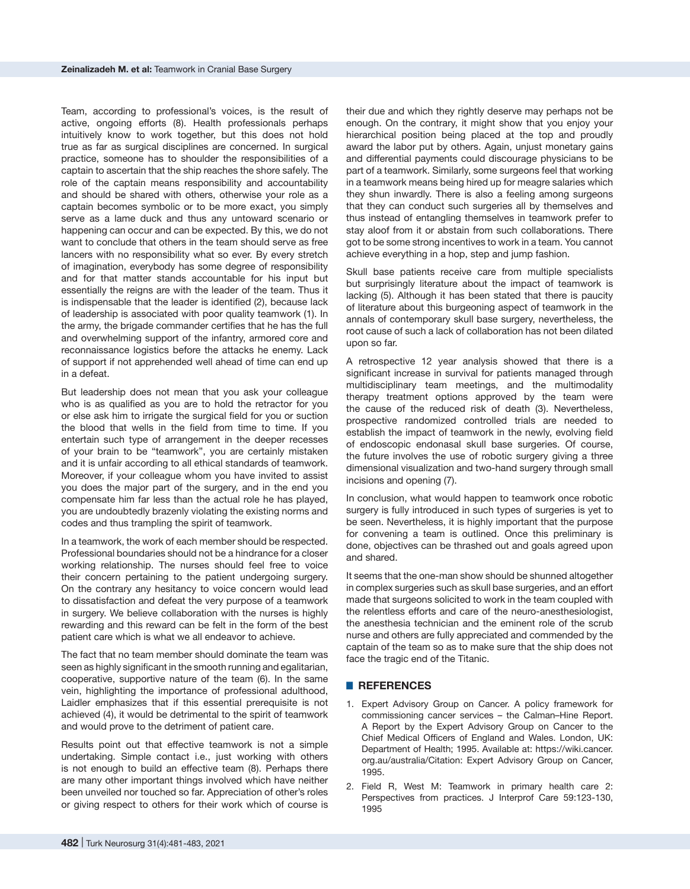Team, according to professional's voices, is the result of active, ongoing efforts (8). Health professionals perhaps intuitively know to work together, but this does not hold true as far as surgical disciplines are concerned. In surgical practice, someone has to shoulder the responsibilities of a captain to ascertain that the ship reaches the shore safely. The role of the captain means responsibility and accountability and should be shared with others, otherwise your role as a captain becomes symbolic or to be more exact, you simply serve as a lame duck and thus any untoward scenario or happening can occur and can be expected. By this, we do not want to conclude that others in the team should serve as free lancers with no responsibility what so ever. By every stretch of imagination, everybody has some degree of responsibility and for that matter stands accountable for his input but essentially the reigns are with the leader of the team. Thus it is indispensable that the leader is identified (2), because lack of leadership is associated with poor quality teamwork (1). In the army, the brigade commander certifies that he has the full and overwhelming support of the infantry, armored core and reconnaissance logistics before the attacks he enemy. Lack of support if not apprehended well ahead of time can end up in a defeat.

But leadership does not mean that you ask your colleague who is as qualified as you are to hold the retractor for you or else ask him to irrigate the surgical field for you or suction the blood that wells in the field from time to time. If you entertain such type of arrangement in the deeper recesses of your brain to be "teamwork", you are certainly mistaken and it is unfair according to all ethical standards of teamwork. Moreover, if your colleague whom you have invited to assist you does the major part of the surgery, and in the end you compensate him far less than the actual role he has played, you are undoubtedly brazenly violating the existing norms and codes and thus trampling the spirit of teamwork.

In a teamwork, the work of each member should be respected. Professional boundaries should not be a hindrance for a closer working relationship. The nurses should feel free to voice their concern pertaining to the patient undergoing surgery. On the contrary any hesitancy to voice concern would lead to dissatisfaction and defeat the very purpose of a teamwork in surgery. We believe collaboration with the nurses is highly rewarding and this reward can be felt in the form of the best patient care which is what we all endeavor to achieve.

The fact that no team member should dominate the team was seen as highly significant in the smooth running and egalitarian, cooperative, supportive nature of the team (6). In the same vein, highlighting the importance of professional adulthood, Laidler emphasizes that if this essential prerequisite is not achieved (4), it would be detrimental to the spirit of teamwork and would prove to the detriment of patient care.

Results point out that effective teamwork is not a simple undertaking. Simple contact i.e., just working with others is not enough to build an effective team (8). Perhaps there are many other important things involved which have neither been unveiled nor touched so far. Appreciation of other's roles or giving respect to others for their work which of course is their due and which they rightly deserve may perhaps not be enough. On the contrary, it might show that you enjoy your hierarchical position being placed at the top and proudly award the labor put by others. Again, unjust monetary gains and differential payments could discourage physicians to be part of a teamwork. Similarly, some surgeons feel that working in a teamwork means being hired up for meagre salaries which they shun inwardly. There is also a feeling among surgeons that they can conduct such surgeries all by themselves and thus instead of entangling themselves in teamwork prefer to stay aloof from it or abstain from such collaborations. There got to be some strong incentives to work in a team. You cannot achieve everything in a hop, step and jump fashion.

Skull base patients receive care from multiple specialists but surprisingly literature about the impact of teamwork is lacking (5). Although it has been stated that there is paucity of literature about this burgeoning aspect of teamwork in the annals of contemporary skull base surgery, nevertheless, the root cause of such a lack of collaboration has not been dilated upon so far.

A retrospective 12 year analysis showed that there is a significant increase in survival for patients managed through multidisciplinary team meetings, and the multimodality therapy treatment options approved by the team were the cause of the reduced risk of death (3). Nevertheless, prospective randomized controlled trials are needed to establish the impact of teamwork in the newly, evolving field of endoscopic endonasal skull base surgeries. Of course, the future involves the use of robotic surgery giving a three dimensional visualization and two-hand surgery through small incisions and opening (7).

In conclusion, what would happen to teamwork once robotic surgery is fully introduced in such types of surgeries is yet to be seen. Nevertheless, it is highly important that the purpose for convening a team is outlined. Once this preliminary is done, objectives can be thrashed out and goals agreed upon and shared.

It seems that the one-man show should be shunned altogether in complex surgeries such as skull base surgeries, and an effort made that surgeons solicited to work in the team coupled with the relentless efforts and care of the neuro-anesthesiologist, the anesthesia technician and the eminent role of the scrub nurse and others are fully appreciated and commended by the captain of the team so as to make sure that the ship does not face the tragic end of the Titanic.

## █ **REFERENCES**

- 1. Expert Advisory Group on Cancer. A policy framework for commissioning cancer services – the Calman–Hine Report. A Report by the Expert Advisory Group on Cancer to the Chief Medical Officers of England and Wales. London, UK: Department of Health; 1995. Available at: [https://wiki.cancer.](https://wiki.cancer.org.au/australia/Citation: Expert Advisory Group on Cancer, 1995) [org.au/australia/Citation: Expert Advisory Group on Cancer,](https://wiki.cancer.org.au/australia/Citation: Expert Advisory Group on Cancer, 1995)  [1995](https://wiki.cancer.org.au/australia/Citation: Expert Advisory Group on Cancer, 1995).
- 2. Field R, West M: Teamwork in primary health care 2: Perspectives from practices. J Interprof Care 59:123-130, 1995